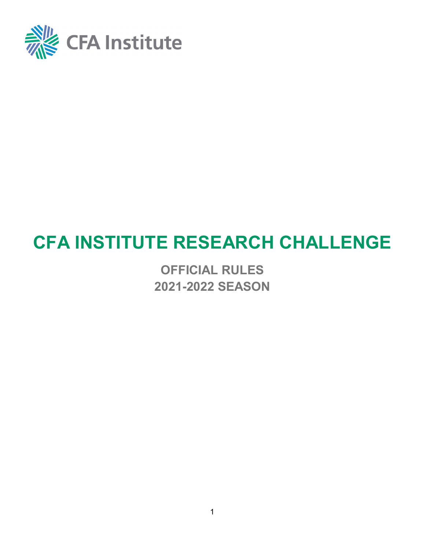

# **CFA INSTITUTE RESEARCH CHALLENGE**

**OFFICIAL RULES 2021-2022 SEASON**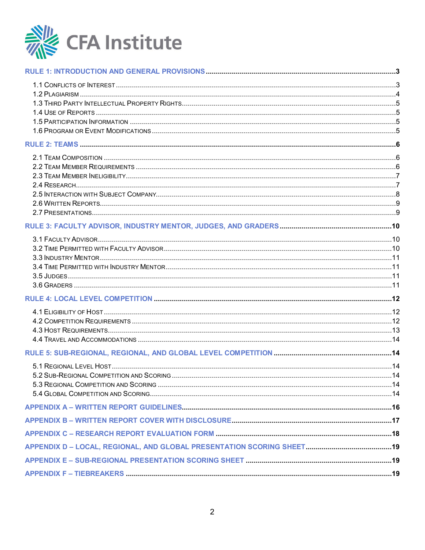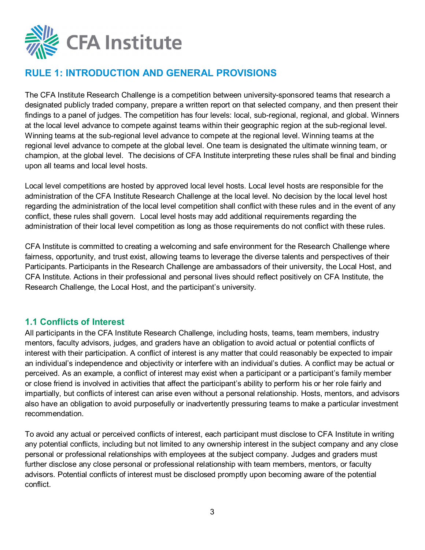

# <span id="page-2-0"></span>**RULE 1: INTRODUCTION AND GENERAL PROVISIONS**

The CFA Institute Research Challenge is a competition between university-sponsored teams that research a designated publicly traded company, prepare a written report on that selected company, and then present their findings to a panel of judges. The competition has four levels: local, sub-regional, regional, and global. Winners at the local level advance to compete against teams within their geographic region at the sub-regional level. Winning teams at the sub-regional level advance to compete at the regional level. Winning teams at the regional level advance to compete at the global level. One team is designated the ultimate winning team, or champion, at the global level. The decisions of CFA Institute interpreting these rules shall be final and binding upon all teams and local level hosts.

Local level competitions are hosted by approved local level hosts. Local level hosts are responsible for the administration of the CFA Institute Research Challenge at the local level. No decision by the local level host regarding the administration of the local level competition shall conflict with these rules and in the event of any conflict, these rules shall govern. Local level hosts may add additional requirements regarding the administration of their local level competition as long as those requirements do not conflict with these rules.

CFA Institute is committed to creating a welcoming and safe environment for the Research Challenge where fairness, opportunity, and trust exist, allowing teams to leverage the diverse talents and perspectives of their Participants. Participants in the Research Challenge are ambassadors of their university, the Local Host, and CFA Institute. Actions in their professional and personal lives should reflect positively on CFA Institute, the Research Challenge, the Local Host, and the participant's university.

## **1.1 Conflicts of Interest**

All participants in the CFA Institute Research Challenge, including hosts, teams, team members, industry mentors, faculty advisors, judges, and graders have an obligation to avoid actual or potential conflicts of interest with their participation. A conflict of interest is any matter that could reasonably be expected to impair an individual's independence and objectivity or interfere with an individual's duties. A conflict may be actual or perceived. As an example, a conflict of interest may exist when a participant or a participant's family member or close friend is involved in activities that affect the participant's ability to perform his or her role fairly and impartially, but conflicts of interest can arise even without a personal relationship. Hosts, mentors, and advisors also have an obligation to avoid purposefully or inadvertently pressuring teams to make a particular investment recommendation.

To avoid any actual or perceived conflicts of interest, each participant must disclose to CFA Institute in writing any potential conflicts, including but not limited to any ownership interest in the subject company and any close personal or professional relationships with employees at the subject company. Judges and graders must further disclose any close personal or professional relationship with team members, mentors, or faculty advisors. Potential conflicts of interest must be disclosed promptly upon becoming aware of the potential conflict.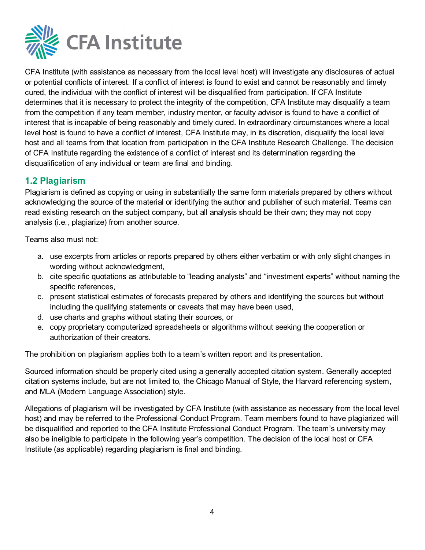

CFA Institute (with assistance as necessary from the local level host) will investigate any disclosures of actual or potential conflicts of interest. If a conflict of interest is found to exist and cannot be reasonably and timely cured, the individual with the conflict of interest will be disqualified from participation. If CFA Institute determines that it is necessary to protect the integrity of the competition, CFA Institute may disqualify a team from the competition if any team member, industry mentor, or faculty advisor is found to have a conflict of interest that is incapable of being reasonably and timely cured. In extraordinary circumstances where a local level host is found to have a conflict of interest, CFA Institute may, in its discretion, disqualify the local level host and all teams from that location from participation in the CFA Institute Research Challenge. The decision of CFA Institute regarding the existence of a conflict of interest and its determination regarding the disqualification of any individual or team are final and binding.

## **1.2 Plagiarism**

Plagiarism is defined as copying or using in substantially the same form materials prepared by others without acknowledging the source of the material or identifying the author and publisher of such material. Teams can read existing research on the subject company, but all analysis should be their own; they may not copy analysis (i.e., plagiarize) from another source.

Teams also must not:

- a. use excerpts from articles or reports prepared by others either verbatim or with only slight changes in wording without acknowledgment,
- b. cite specific quotations as attributable to "leading analysts" and "investment experts" without naming the specific references,
- c. present statistical estimates of forecasts prepared by others and identifying the sources but without including the qualifying statements or caveats that may have been used,
- d. use charts and graphs without stating their sources, or
- e. copy proprietary computerized spreadsheets or algorithms without seeking the cooperation or authorization of their creators.

The prohibition on plagiarism applies both to a team's written report and its presentation.

Sourced information should be properly cited using a generally accepted citation system. Generally accepted citation systems include, but are not limited to, the Chicago Manual of Style, the Harvard referencing system, and MLA (Modern Language Association) style.

Allegations of plagiarism will be investigated by CFA Institute (with assistance as necessary from the local level host) and may be referred to the Professional Conduct Program. Team members found to have plagiarized will be disqualified and reported to the CFA Institute Professional Conduct Program. The team's university may also be ineligible to participate in the following year's competition. The decision of the local host or CFA Institute (as applicable) regarding plagiarism is final and binding.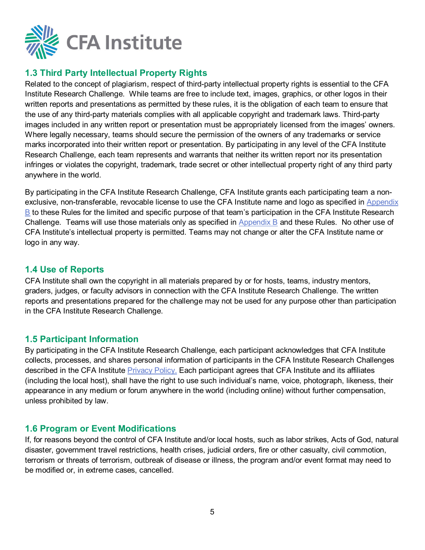

## **1.3 Third Party Intellectual Property Rights**

Related to the concept of plagiarism, respect of third-party intellectual property rights is essential to the CFA Institute Research Challenge. While teams are free to include text, images, graphics, or other logos in their written reports and presentations as permitted by these rules, it is the obligation of each team to ensure that the use of any third-party materials complies with all applicable copyright and trademark laws. Third-party images included in any written report or presentation must be appropriately licensed from the images' owners. Where legally necessary, teams should secure the permission of the owners of any trademarks or service marks incorporated into their written report or presentation. By participating in any level of the CFA Institute Research Challenge, each team represents and warrants that neither its written report nor its presentation infringes or violates the copyright, trademark, trade secret or other intellectual property right of any third party anywhere in the world.

By participating in the CFA Institute Research Challenge, CFA Institute grants each participating team a nonexclusive, non-transferable, revocable license to use the CFA Institute name and logo as specified in Appendix [B](#page-16-0) to these Rules for the limited and specific purpose of that team's participation in the CFA Institute Research Challenge. Teams will use those materials only as specified in [Appendix B](#page-16-0) and these Rules. No other use of CFA Institute's intellectual property is permitted. Teams may not change or alter the CFA Institute name or logo in any way.

#### **1.4 Use of Reports**

CFA Institute shall own the copyright in all materials prepared by or for hosts, teams, industry mentors, graders, judges, or faculty advisors in connection with the CFA Institute Research Challenge. The written reports and presentations prepared for the challenge may not be used for any purpose other than participation in the CFA Institute Research Challenge.

#### **1.5 Participant Information**

By participating in the CFA Institute Research Challenge, each participant acknowledges that CFA Institute collects, processes, and shares personal information of participants in the CFA Institute Research Challenges described in the CFA Institute **Privacy Policy.** Each participant agrees that CFA Institute and its affiliates (including the local host), shall have the right to use such individual's name, voice, photograph, likeness, their appearance in any medium or forum anywhere in the world (including online) without further compensation, unless prohibited by law.

#### **1.6 Program or Event Modifications**

If, for reasons beyond the control of CFA Institute and/or local hosts, such as labor strikes, Acts of God, natural disaster, government travel restrictions, health crises, judicial orders, fire or other casualty, civil commotion, terrorism or threats of terrorism, outbreak of disease or illness, the program and/or event format may need to be modified or, in extreme cases, cancelled.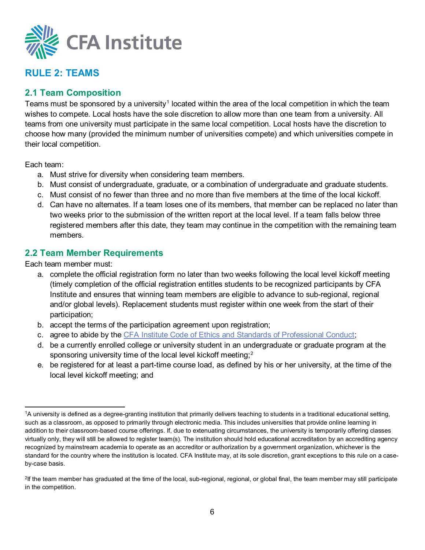

## <span id="page-5-0"></span>**RULE 2: TEAMS**

## <span id="page-5-1"></span>**2.1 Team Composition**

Teams must be sponsored by a university<sup>[1](#page-5-3)</sup> located within the area of the local competition in which the team wishes to compete. Local hosts have the sole discretion to allow more than one team from a university. All teams from one university must participate in the same local competition. Local hosts have the discretion to choose how many (provided the minimum number of universities compete) and which universities compete in their local competition.

Each team:

- a. Must strive for diversity when considering team members.
- b. Must consist of undergraduate, graduate, or a combination of undergraduate and graduate students.
- c. Must consist of no fewer than three and no more than five members at the time of the local kickoff.
- d. Can have no alternates. If a team loses one of its members, that member can be replaced no later than two weeks prior to the submission of the written report at the local level. If a team falls below three registered members after this date, they team may continue in the competition with the remaining team members.

#### <span id="page-5-2"></span>**2.2 Team Member Requirements**

Each team member must:

- a. complete the official registration form no later than two weeks following the local level kickoff meeting (timely completion of the official registration entitles students to be recognized participants by CFA Institute and ensures that winning team members are eligible to advance to sub-regional, regional and/or global levels). Replacement students must register within one week from the start of their participation;
- b. accept the terms of the participation agreement upon registration;
- c. agree to abide by the [CFA Institute Code of Ethics and Standards of Professional Conduct;](http://www.cfainstitute.org/ethics/codes/ethics/Pages/index.aspx)
- d. be a currently enrolled college or university student in an undergraduate or graduate program at the sponsoring university time of the local level kickoff meeting;<sup>[2](#page-5-4)</sup>
- e. be registered for at least a part-time course load, as defined by his or her university, at the time of the local level kickoff meeting; and

<span id="page-5-3"></span> <sup>1</sup>A university is defined as a degree-granting institution that primarily delivers teaching to students in a traditional educational setting, such as a classroom, as opposed to primarily through electronic media. This includes universities that provide online learning in addition to their classroom-based course offerings. If, due to extenuating circumstances, the university is temporarily offering classes virtually only, they will still be allowed to register team(s). The institution should hold educational accreditation by an accrediting agency recognized by mainstream academia to operate as an accreditor or authorization by a government organization, whichever is the standard for the country where the institution is located. CFA Institute may, at its sole discretion, grant exceptions to this rule on a caseby-case basis.

<span id="page-5-4"></span><sup>&</sup>lt;sup>2</sup>If the team member has graduated at the time of the local, sub-regional, regional, or global final, the team member may still participate in the competition.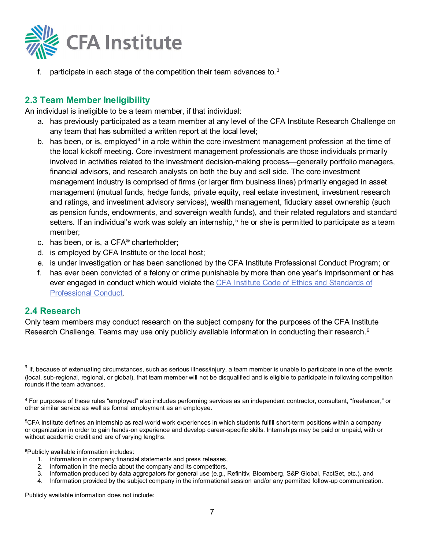

participate in each stage of the competition their team advances to.<sup>[3](#page-6-2)</sup>

## <span id="page-6-0"></span>**2.3 Team Member Ineligibility**

An individual is ineligible to be a team member, if that individual:

- a. has previously participated as a team member at any level of the CFA Institute Research Challenge on any team that has submitted a written report at the local level;
- b. has been, or is, employed<sup>[4](#page-6-3)</sup> in a role within the core investment management profession at the time of the local kickoff meeting. Core investment management professionals are those individuals primarily involved in activities related to the investment decision-making process—generally portfolio managers, financial advisors, and research analysts on both the buy and sell side. The core investment management industry is comprised of firms (or larger firm business lines) primarily engaged in asset management (mutual funds, hedge funds, private equity, real estate investment, investment research and ratings, and investment advisory services), wealth management, fiduciary asset ownership (such as pension funds, endowments, and sovereign wealth funds), and their related regulators and standard setters. If an individual's work was solely an internship,<sup>[5](#page-6-4)</sup> he or she is permitted to participate as a team member;
- c. has been, or is, a CFA® charterholder;
- d. is employed by CFA Institute or the local host;
- e. is under investigation or has been sanctioned by the CFA Institute Professional Conduct Program; or
- f. has ever been convicted of a felony or crime punishable by more than one year's imprisonment or has ever engaged in conduct which would violate the CFA Institute Code of Ethics and Standards of [Professional Conduct.](http://www.cfainstitute.org/ethics/codes/ethics/Pages/index.aspx)

#### <span id="page-6-1"></span>**2.4 Research**

 $\overline{a}$ 

Only team members may conduct research on the subject company for the purposes of the CFA Institute Research Challenge. Teams may use only publicly available information in conducting their research.<sup>[6](#page-6-5)</sup>

<span id="page-6-5"></span>6Publicly available information includes:

- 1. information in company financial statements and press releases,
- 2. information in the media about the company and its competitors,
- 3. information produced by data aggregators for general use (e.g., Refinitiv, Bloomberg, S&P Global, FactSet, etc.), and
- 4. Information provided by the subject company in the informational session and/or any permitted follow-up communication.

Publicly available information does not include:

<span id="page-6-2"></span><sup>&</sup>lt;sup>3</sup> If, because of extenuating circumstances, such as serious illness/injury, a team member is unable to participate in one of the events (local, sub-regional, regional, or global), that team member will not be disqualified and is eligible to participate in following competition rounds if the team advances.

<span id="page-6-3"></span><sup>4</sup> For purposes of these rules "employed" also includes performing services as an independent contractor, consultant, "freelancer," or other similar service as well as formal employment as an employee.

<span id="page-6-4"></span><sup>5</sup>CFA Institute defines an internship as real-world work experiences in which students fulfill short-term positions within a company or organization in order to gain hands-on experience and develop career-specific skills. Internships may be paid or unpaid, with or without academic credit and are of varying lengths.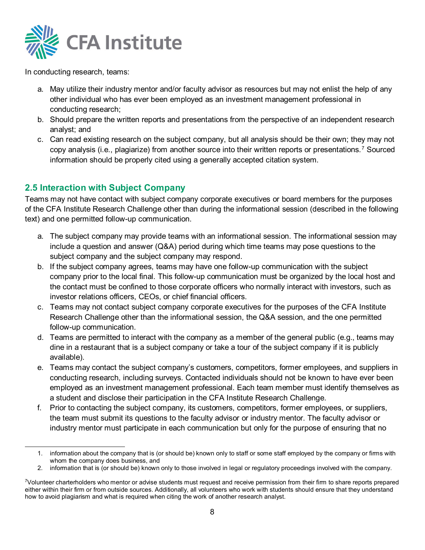

In conducting research, teams:

- a. May utilize their industry mentor and/or faculty advisor as resources but may not enlist the help of any other individual who has ever been employed as an investment management professional in conducting research;
- b. Should prepare the written reports and presentations from the perspective of an independent research analyst; and
- c. Can read existing research on the subject company, but all analysis should be their own; they may not copy analysis (i.e., plagiarize) from another source into their written reports or presentations.[7](#page-7-0) Sourced information should be properly cited using a generally accepted citation system.

#### **2.5 Interaction with Subject Company**

Teams may not have contact with subject company corporate executives or board members for the purposes of the CFA Institute Research Challenge other than during the informational session (described in the following text) and one permitted follow-up communication.

- a. The subject company may provide teams with an informational session. The informational session may include a question and answer (Q&A) period during which time teams may pose questions to the subject company and the subject company may respond.
- b. If the subject company agrees, teams may have one follow-up communication with the subject company prior to the local final. This follow-up communication must be organized by the local host and the contact must be confined to those corporate officers who normally interact with investors, such as investor relations officers, CEOs, or chief financial officers.
- c. Teams may not contact subject company corporate executives for the purposes of the CFA Institute Research Challenge other than the informational session, the Q&A session, and the one permitted follow-up communication.
- d. Teams are permitted to interact with the company as a member of the general public (e.g., teams may dine in a restaurant that is a subject company or take a tour of the subject company if it is publicly available).
- e. Teams may contact the subject company's customers, competitors, former employees, and suppliers in conducting research, including surveys. Contacted individuals should not be known to have ever been employed as an investment management professional. Each team member must identify themselves as a student and disclose their participation in the CFA Institute Research Challenge.
- f. Prior to contacting the subject company, its customers, competitors, former employees, or suppliers, the team must submit its questions to the faculty advisor or industry mentor. The faculty advisor or industry mentor must participate in each communication but only for the purpose of ensuring that no

 <sup>1.</sup> information about the company that is (or should be) known only to staff or some staff employed by the company or firms with whom the company does business, and

<sup>2.</sup> information that is (or should be) known only to those involved in legal or regulatory proceedings involved with the company.

<span id="page-7-0"></span><sup>7</sup>Volunteer charterholders who mentor or advise students must request and receive permission from their firm to share reports prepared either within their firm or from outside sources. Additionally, all volunteers who work with students should ensure that they understand how to avoid plagiarism and what is required when citing the work of another research analyst.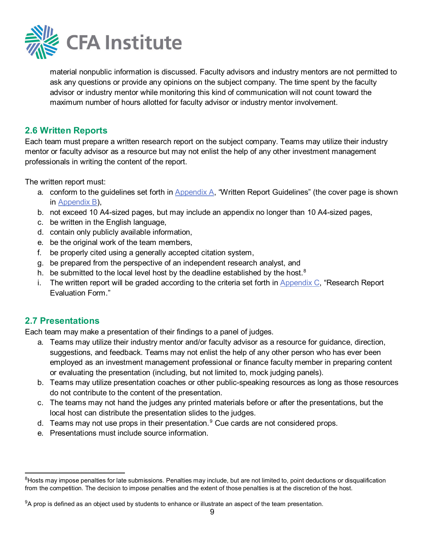

material nonpublic information is discussed. Faculty advisors and industry mentors are not permitted to ask any questions or provide any opinions on the subject company. The time spent by the faculty advisor or industry mentor while monitoring this kind of communication will not count toward the maximum number of hours allotted for faculty advisor or industry mentor involvement.

#### <span id="page-8-0"></span>**2.6 Written Reports**

Each team must prepare a written research report on the subject company. Teams may utilize their industry mentor or faculty advisor as a resource but may not enlist the help of any other investment management professionals in writing the content of the report.

The written report must:

- a. conform to the guidelines set forth in [Appendix](#page-14-0) A, "Written Report Guidelines" (the cover page is shown in [Appendix](#page-16-0) B),
- b. not exceed 10 A4-sized pages, but may include an appendix no longer than 10 A4-sized pages,
- c. be written in the English language,
- d. contain only publicly available information,
- e. be the original work of the team members,
- f. be properly cited using a generally accepted citation system,
- g. be prepared from the perspective of an independent research analyst, and
- h. be submitted to the local level host by the deadline established by the host.<sup>[8](#page-8-2)</sup>
- i. The written report will be graded according to the criteria set forth in Appendix  $C$ , "Research Report Evaluation Form."

#### <span id="page-8-1"></span>**2.7 Presentations**

Each team may make a presentation of their findings to a panel of judges.

- a. Teams may utilize their industry mentor and/or faculty advisor as a resource for guidance, direction, suggestions, and feedback. Teams may not enlist the help of any other person who has ever been employed as an investment management professional or finance faculty member in preparing content or evaluating the presentation (including, but not limited to, mock judging panels).
- b. Teams may utilize presentation coaches or other public-speaking resources as long as those resources do not contribute to the content of the presentation.
- c. The teams may not hand the judges any printed materials before or after the presentations, but the local host can distribute the presentation slides to the judges.
- d. Teams may not use props in their presentation.  $9$  Cue cards are not considered props.
- e. Presentations must include source information.

<span id="page-8-2"></span> <sup>8</sup> Hosts may impose penalties for late submissions. Penalties may include, but are not limited to, point deductions or disqualification from the competition. The decision to impose penalties and the extent of those penalties is at the discretion of the host.

<span id="page-8-3"></span> $9A$  prop is defined as an object used by students to enhance or illustrate an aspect of the team presentation.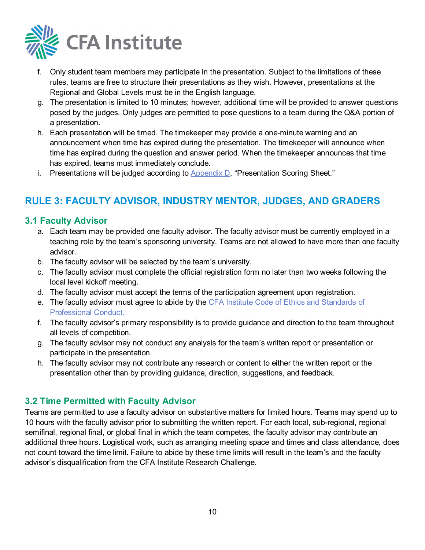

- f. Only student team members may participate in the presentation. Subject to the limitations of these rules, teams are free to structure their presentations as they wish. However, presentations at the Regional and Global Levels must be in the English language.
- g. The presentation is limited to 10 minutes; however, additional time will be provided to answer questions posed by the judges. Only judges are permitted to pose questions to a team during the Q&A portion of a presentation.
- h. Each presentation will be timed. The timekeeper may provide a one-minute warning and an announcement when time has expired during the presentation. The timekeeper will announce when time has expired during the question and answer period. When the timekeeper announces that time has expired, teams must immediately conclude.
- <span id="page-9-0"></span>i. Presentations will be judged according to [Appendix](#page-18-0) D, "Presentation Scoring Sheet."

# **RULE 3: FACULTY ADVISOR, INDUSTRY MENTOR, JUDGES, AND GRADERS**

#### <span id="page-9-1"></span>**3.1 Faculty Advisor**

- a. Each team may be provided one faculty advisor. The faculty advisor must be currently employed in a teaching role by the team's sponsoring university. Teams are not allowed to have more than one faculty advisor.
- b. The faculty advisor will be selected by the team's university.
- c. The faculty advisor must complete the official registration form no later than two weeks following the local level kickoff meeting.
- d. The faculty advisor must accept the terms of the participation agreement upon registration.
- e. The faculty advisor must agree to abide by the CFA Institute Code of Ethics and Standards of [Professional Conduct.](http://www.cfainstitute.org/ethics/codes/ethics/Pages/index.aspx)
- f. The faculty advisor's primary responsibility is to provide guidance and direction to the team throughout all levels of competition.
- g. The faculty advisor may not conduct any analysis for the team's written report or presentation or participate in the presentation.
- h. The faculty advisor may not contribute any research or content to either the written report or the presentation other than by providing guidance, direction, suggestions, and feedback.

#### <span id="page-9-2"></span>**3.2 Time Permitted with Faculty Advisor**

Teams are permitted to use a faculty advisor on substantive matters for limited hours. Teams may spend up to 10 hours with the faculty advisor prior to submitting the written report. For each local, sub-regional, regional semifinal, regional final, or global final in which the team competes, the faculty advisor may contribute an additional three hours. Logistical work, such as arranging meeting space and times and class attendance, does not count toward the time limit. Failure to abide by these time limits will result in the team's and the faculty advisor's disqualification from the CFA Institute Research Challenge.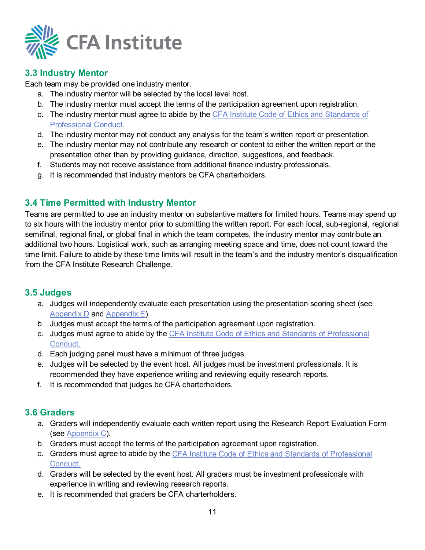

## <span id="page-10-0"></span>**3.3 Industry Mentor**

Each team may be provided one industry mentor.

- a. The industry mentor will be selected by the local level host.
- b. The industry mentor must accept the terms of the participation agreement upon registration.
- c. The industry mentor must agree to abide by the CFA Institute Code of Ethics and Standards of [Professional Conduct.](http://www.cfainstitute.org/ethics/codes/ethics/Pages/index.aspx)
- d. The industry mentor may not conduct any analysis for the team's written report or presentation.
- e. The industry mentor may not contribute any research or content to either the written report or the presentation other than by providing guidance, direction, suggestions, and feedback.
- f. Students may not receive assistance from additional finance industry professionals.
- g. It is recommended that industry mentors be CFA charterholders.

## <span id="page-10-1"></span>**3.4 Time Permitted with Industry Mentor**

Teams are permitted to use an industry mentor on substantive matters for limited hours. Teams may spend up to six hours with the industry mentor prior to submitting the written report. For each local, sub-regional, regional semifinal, regional final, or global final in which the team competes, the industry mentor may contribute an additional two hours. Logistical work, such as arranging meeting space and time, does not count toward the time limit. Failure to abide by these time limits will result in the team's and the industry mentor's disqualification from the CFA Institute Research Challenge.

#### <span id="page-10-2"></span>**3.5 Judges**

- a. Judges will independently evaluate each presentation using the presentation scoring sheet (see [Appendix D](#page-18-0) and [Appendix E\)](#page-19-0).
- b. Judges must accept the terms of the participation agreement upon registration.
- c. Judges must agree to abide by the [CFA Institute Code of Ethics and Standards of Professional](http://www.cfainstitute.org/ethics/codes/ethics/Pages/index.aspx)  [Conduct.](http://www.cfainstitute.org/ethics/codes/ethics/Pages/index.aspx)
- d. Each judging panel must have a minimum of three judges.
- e. Judges will be selected by the event host. All judges must be investment professionals. It is recommended they have experience writing and reviewing equity research reports.
- f. It is recommended that judges be CFA charterholders.

## **3.6 Graders**

- a. Graders will independently evaluate each written report using the Research Report Evaluation Form (see [Appendix](#page-17-0) C).
- b. Graders must accept the terms of the participation agreement upon registration.
- c. Graders must agree to abide by the [CFA Institute Code of Ethics and Standards of Professional](http://www.cfainstitute.org/ethics/codes/ethics/Pages/index.aspx)  [Conduct.](http://www.cfainstitute.org/ethics/codes/ethics/Pages/index.aspx)
- d. Graders will be selected by the event host. All graders must be investment professionals with experience in writing and reviewing research reports.
- <span id="page-10-3"></span>e. It is recommended that graders be CFA charterholders.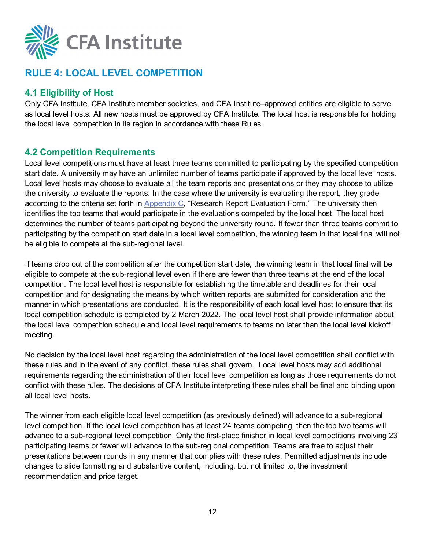

# **RULE 4: LOCAL LEVEL COMPETITION**

#### <span id="page-11-0"></span>**4.1 Eligibility of Host**

Only CFA Institute, CFA Institute member societies, and CFA Institute–approved entities are eligible to serve as local level hosts. All new hosts must be approved by CFA Institute. The local host is responsible for holding the local level competition in its region in accordance with these Rules.

#### <span id="page-11-1"></span>**4.2 Competition Requirements**

Local level competitions must have at least three teams committed to participating by the specified competition start date. A university may have an unlimited number of teams participate if approved by the local level hosts. Local level hosts may choose to evaluate all the team reports and presentations or they may choose to utilize the university to evaluate the reports. In the case where the university is evaluating the report, they grade according to the criteria set forth in [Appendix C,](#page-17-0) "Research Report Evaluation Form." The university then identifies the top teams that would participate in the evaluations competed by the local host. The local host determines the number of teams participating beyond the university round. If fewer than three teams commit to participating by the competition start date in a local level competition, the winning team in that local final will not be eligible to compete at the sub-regional level.

If teams drop out of the competition after the competition start date, the winning team in that local final will be eligible to compete at the sub-regional level even if there are fewer than three teams at the end of the local competition. The local level host is responsible for establishing the timetable and deadlines for their local competition and for designating the means by which written reports are submitted for consideration and the manner in which presentations are conducted. It is the responsibility of each local level host to ensure that its local competition schedule is completed by 2 March 2022. The local level host shall provide information about the local level competition schedule and local level requirements to teams no later than the local level kickoff meeting.

No decision by the local level host regarding the administration of the local level competition shall conflict with these rules and in the event of any conflict, these rules shall govern. Local level hosts may add additional requirements regarding the administration of their local level competition as long as those requirements do not conflict with these rules. The decisions of CFA Institute interpreting these rules shall be final and binding upon all local level hosts.

The winner from each eligible local level competition (as previously defined) will advance to a sub-regional level competition. If the local level competition has at least 24 teams competing, then the top two teams will advance to a sub-regional level competition. Only the first-place finisher in local level competitions involving 23 participating teams or fewer will advance to the sub-regional competition. Teams are free to adjust their presentations between rounds in any manner that complies with these rules. Permitted adjustments include changes to slide formatting and substantive content, including, but not limited to, the investment recommendation and price target.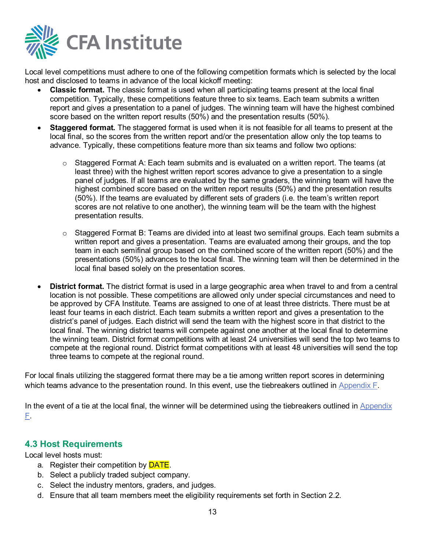

Local level competitions must adhere to one of the following competition formats which is selected by the local host and disclosed to teams in advance of the local kickoff meeting:

- **Classic format.** The classic format is used when all participating teams present at the local final competition. Typically, these competitions feature three to six teams. Each team submits a written report and gives a presentation to a panel of judges. The winning team will have the highest combined score based on the written report results (50%) and the presentation results (50%).
- **Staggered format.** The staggered format is used when it is not feasible for all teams to present at the local final, so the scores from the written report and/or the presentation allow only the top teams to advance. Typically, these competitions feature more than six teams and follow two options:
	- $\circ$  Staggered Format A: Each team submits and is evaluated on a written report. The teams (at least three) with the highest written report scores advance to give a presentation to a single panel of judges. If all teams are evaluated by the same graders, the winning team will have the highest combined score based on the written report results (50%) and the presentation results (50%). If the teams are evaluated by different sets of graders (i.e. the team's written report scores are not relative to one another), the winning team will be the team with the highest presentation results.
	- $\circ$  Staggered Format B: Teams are divided into at least two semifinal groups. Each team submits a written report and gives a presentation. Teams are evaluated among their groups, and the top team in each semifinal group based on the combined score of the written report (50%) and the presentations (50%) advances to the local final. The winning team will then be determined in the local final based solely on the presentation scores.
- **District format.** The district format is used in a large geographic area when travel to and from a central location is not possible. These competitions are allowed only under special circumstances and need to be approved by CFA Institute. Teams are assigned to one of at least three districts. There must be at least four teams in each district. Each team submits a written report and gives a presentation to the district's panel of judges. Each district will send the team with the highest score in that district to the local final. The winning district teams will compete against one another at the local final to determine the winning team. District format competitions with at least 24 universities will send the top two teams to compete at the regional round. District format competitions with at least 48 universities will send the top three teams to compete at the regional round.

For local finals utilizing the staggered format there may be a tie among written report scores in determining which teams advance to the presentation round. In this event, use the tiebreakers outlined in [Appendix F.](#page-20-0)

In the event of a tie at the local final, the winner will be determined using the tiebreakers outlined in Appendix [F.](#page-20-0)

#### <span id="page-12-0"></span>**4.3 Host Requirements**

Local level hosts must:

- a. Register their competition by **DATE**.
- b. Select a publicly traded subject company.
- c. Select the industry mentors, graders, and judges.
- d. Ensure that all team members meet the eligibility requirements set forth in Section 2.2.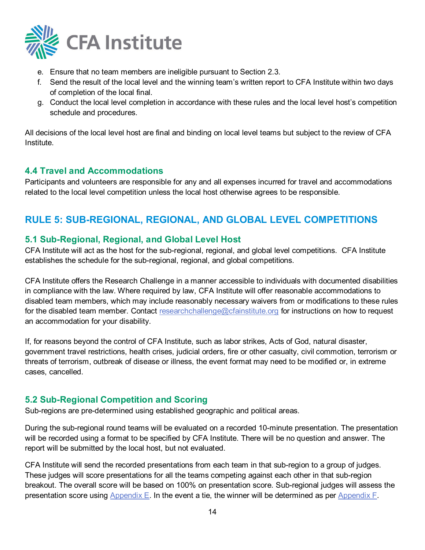

- e. Ensure that no team members are ineligible pursuant to Section 2.3.
- f. Send the result of the local level and the winning team's written report to CFA Institute within two days of completion of the local final.
- g. Conduct the local level completion in accordance with these rules and the local level host's competition schedule and procedures.

All decisions of the local level host are final and binding on local level teams but subject to the review of CFA **Institute** 

#### <span id="page-13-0"></span>**4.4 Travel and Accommodations**

Participants and volunteers are responsible for any and all expenses incurred for travel and accommodations related to the local level competition unless the local host otherwise agrees to be responsible.

# <span id="page-13-1"></span>**RULE 5: SUB-REGIONAL, REGIONAL, AND GLOBAL LEVEL COMPETITIONS**

#### <span id="page-13-2"></span>**5.1 Sub-Regional, Regional, and Global Level Host**

CFA Institute will act as the host for the sub-regional, regional, and global level competitions. CFA Institute establishes the schedule for the sub-regional, regional, and global competitions.

CFA Institute offers the Research Challenge in a manner accessible to individuals with documented disabilities in compliance with the law. Where required by law, CFA Institute will offer reasonable accommodations to disabled team members, which may include reasonably necessary waivers from or modifications to these rules for the disabled team member. Contact [researchchallenge@cfainstitute.org](mailto:researchchallenge@cfainstitute.org) for instructions on how to request an accommodation for your disability.

If, for reasons beyond the control of CFA Institute, such as labor strikes, Acts of God, natural disaster, government travel restrictions, health crises, judicial orders, fire or other casualty, civil commotion, terrorism or threats of terrorism, outbreak of disease or illness, the event format may need to be modified or, in extreme cases, cancelled.

## <span id="page-13-3"></span>**5.2 Sub-Regional Competition and Scoring**

Sub-regions are pre-determined using established geographic and political areas.

During the sub-regional round teams will be evaluated on a recorded 10-minute presentation. The presentation will be recorded using a format to be specified by CFA Institute. There will be no question and answer. The report will be submitted by the local host, but not evaluated.

CFA Institute will send the recorded presentations from each team in that sub-region to a group of judges. These judges will score presentations for all the teams competing against each other in that sub-region breakout. The overall score will be based on 100% on presentation score. Sub-regional judges will assess the presentation score using  $Appendix E$ . In the event a tie, the winner will be determined as per [Appendix F.](#page-20-0)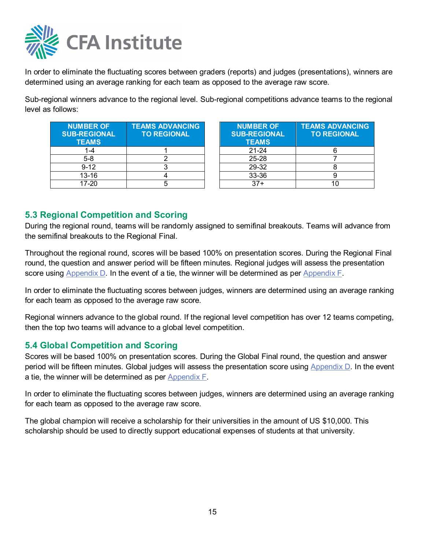

In order to eliminate the fluctuating scores between graders (reports) and judges (presentations), winners are determined using an average ranking for each team as opposed to the average raw score.

Sub-regional winners advance to the regional level. Sub-regional competitions advance teams to the regional level as follows:

| <b>NUMBER OF</b><br><b>SUB-REGIONAL</b><br><b>TEAMS</b> | <b>TEAMS ADVANCING</b><br><b>TO REGIONAL</b> | <b>NUMBER OF</b><br><b>SUB-REGIONAL</b><br><b>TEAMS</b> | <b>TEAMS ADY</b><br><b>TO REGI</b> |
|---------------------------------------------------------|----------------------------------------------|---------------------------------------------------------|------------------------------------|
| 1-4                                                     |                                              | $21 - 24$                                               | 6                                  |
| $5-8$                                                   |                                              | 25-28                                                   |                                    |
| $9 - 12$                                                |                                              | 29-32                                                   |                                    |
| $13 - 16$                                               |                                              | 33-36                                                   | 9                                  |
| $17 - 20$                                               |                                              | 37+                                                     | 10                                 |

| <b>NUMBER OF</b><br><b>SUB-REGIONAL</b><br><b>TEAMS</b> | <b>TEAMS ADVANCING</b><br><b>TO REGIONAL</b> |
|---------------------------------------------------------|----------------------------------------------|
| $21 - 24$                                               | հ                                            |
| 25-28                                                   |                                              |
| 29-32                                                   |                                              |
| 33-36                                                   |                                              |
|                                                         |                                              |

## **5.3 Regional Competition and Scoring**

During the regional round, teams will be randomly assigned to semifinal breakouts. Teams will advance from the semifinal breakouts to the Regional Final.

Throughout the regional round, scores will be based 100% on presentation scores. During the Regional Final round, the question and answer period will be fifteen minutes. Regional judges will assess the presentation score using [Appendix D.](#page-18-0) In the event of a tie, the winner will be determined as per [Appendix F.](#page-20-0)

In order to eliminate the fluctuating scores between judges, winners are determined using an average ranking for each team as opposed to the average raw score.

Regional winners advance to the global round. If the regional level competition has over 12 teams competing, then the top two teams will advance to a global level competition.

#### **5.4 Global Competition and Scoring**

Scores will be based 100% on presentation scores. During the Global Final round, the question and answer period will be fifteen minutes. Global judges will assess the presentation score using [Appendix D.](#page-18-0) In the event a tie, the winner will be determined as per [Appendix F.](#page-20-0)

In order to eliminate the fluctuating scores between judges, winners are determined using an average ranking for each team as opposed to the average raw score.

<span id="page-14-0"></span>The global champion will receive a scholarship for their universities in the amount of US \$10,000. This scholarship should be used to directly support educational expenses of students at that university.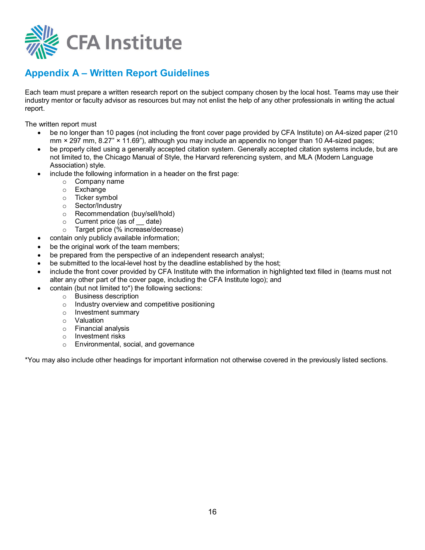

# **Appendix A – Written Report Guidelines**

Each team must prepare a written research report on the subject company chosen by the local host. Teams may use their industry mentor or faculty advisor as resources but may not enlist the help of any other professionals in writing the actual report.

The written report must

- be no longer than 10 pages (not including the front cover page provided by CFA Institute) on A4-sized paper (210 mm × 297 mm, 8.27" × 11.69"), although you may include an appendix no longer than 10 A4-sized pages;
- be properly cited using a generally accepted citation system. Generally accepted citation systems include, but are not limited to, the Chicago Manual of Style, the Harvard referencing system, and MLA (Modern Language Association) style.
- include the following information in a header on the first page:
	- o Company name
	- o Exchange
	- o Ticker symbol
	- o Sector/Industry
	- $\circ$  Recommendation (buy/sell/hold)<br> $\circ$  Current price (as of date)
	- o Current price (as of <u>\_\_</u> date)<br>○ Target price (% increase/dec
	- Target price (% increase/decrease)
- contain only publicly available information;
- be the original work of the team members;
- be prepared from the perspective of an independent research analyst:
- be submitted to the local-level host by the deadline established by the host;
- include the front cover provided by CFA Institute with the information in highlighted text filled in (teams must not alter any other part of the cover page, including the CFA Institute logo); and
- contain (but not limited to\*) the following sections:
	- $\circ$  Business description<br> $\circ$  Industry overview and
	- Industry overview and competitive positioning
	- o Investment summary
	- o Valuation
	- o Financial analysis
	- o Investment risks
	- o Environmental, social, and governance

\*You may also include other headings for important information not otherwise covered in the previously listed sections.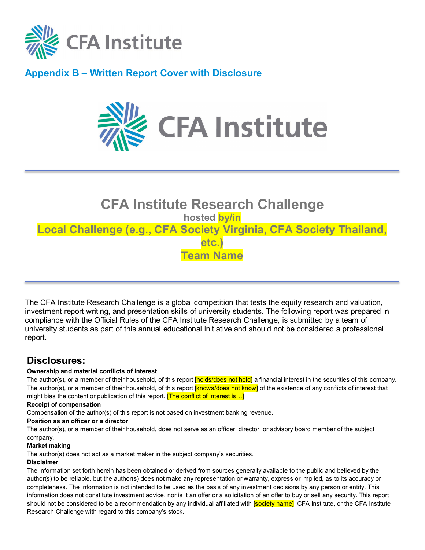

# <span id="page-16-0"></span>**Appendix B – Written Report Cover with Disclosure**



# **CFA Institute Research Challenge hosted by/in Local Challenge (e.g., CFA Society Virginia, CFA Society Thailand, etc.) Team Name**

The CFA Institute Research Challenge is a global competition that tests the equity research and valuation, investment report writing, and presentation skills of university students. The following report was prepared in compliance with the Official Rules of the CFA Institute Research Challenge, is submitted by a team of university students as part of this annual educational initiative and should not be considered a professional report.

## **Disclosures:**

#### **Ownership and material conflicts of interest**

The author(s), or a member of their household, of this report **[holds/does not hold]** a financial interest in the securities of this company. The author(s), or a member of their household, of this report **[knows/does not know]** of the existence of any conflicts of interest that might bias the content or publication of this report. **[The conflict of interest is...]** 

#### **Receipt of compensation**

Compensation of the author(s) of this report is not based on investment banking revenue.

#### **Position as an officer or a director**

The author(s), or a member of their household, does not serve as an officer, director, or advisory board member of the subject company.

#### **Market making**

The author(s) does not act as a market maker in the subject company's securities.

#### **Disclaimer**

The information set forth herein has been obtained or derived from sources generally available to the public and believed by the author(s) to be reliable, but the author(s) does not make any representation or warranty, express or implied, as to its accuracy or completeness. The information is not intended to be used as the basis of any investment decisions by any person or entity. This information does not constitute investment advice, nor is it an offer or a solicitation of an offer to buy or sell any security. This report should not be considered to be a recommendation by any individual affiliated with **[society name]**, CFA Institute, or the CFA Institute Research Challenge with regard to this company's stock.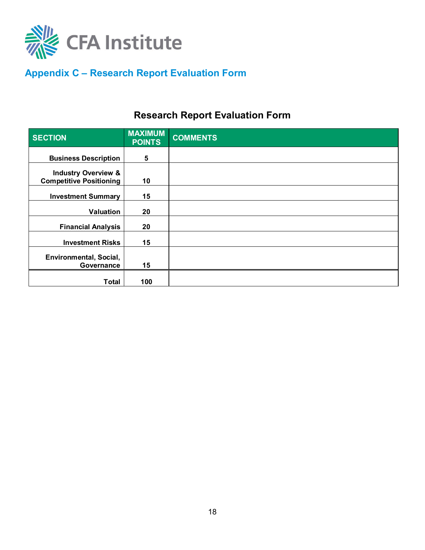

# <span id="page-17-0"></span>**Appendix C – Research Report Evaluation Form**

# **Research Report Evaluation Form**

| <b>SECTION</b>                                                   | <b>MAXIMUM</b><br><b>POINTS</b> | <b>COMMENTS</b> |
|------------------------------------------------------------------|---------------------------------|-----------------|
| <b>Business Description</b>                                      | 5                               |                 |
| <b>Industry Overview &amp;</b><br><b>Competitive Positioning</b> | 10                              |                 |
| <b>Investment Summary</b>                                        | 15                              |                 |
| Valuation                                                        | 20                              |                 |
| <b>Financial Analysis</b>                                        | 20                              |                 |
| <b>Investment Risks</b>                                          | 15                              |                 |
| Environmental, Social,<br>Governance                             | 15                              |                 |
| <b>Total</b>                                                     | 100                             |                 |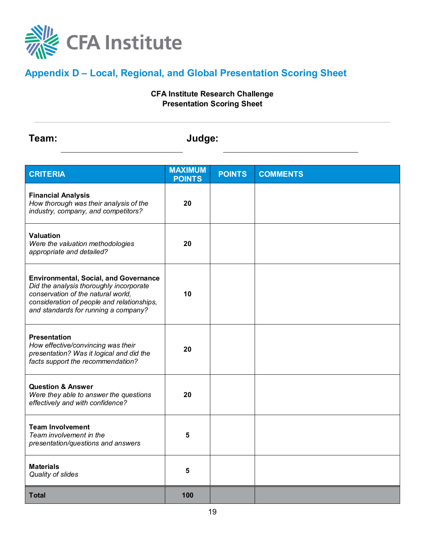

# <span id="page-18-0"></span>**Appendix D – Local, Regional, and Global Presentation Scoring Sheet**

**CFA Institute Research Challenge Presentation Scoring Sheet**

**Team: Judge:**

| <b>CRITERIA</b>                                                                                                                                                                                                     | <b>MAXIMUM</b><br><b>POINTS</b> | <b>POINTS</b> | <b>COMMENTS</b> |
|---------------------------------------------------------------------------------------------------------------------------------------------------------------------------------------------------------------------|---------------------------------|---------------|-----------------|
| <b>Financial Analysis</b><br>How thorough was their analysis of the<br>industry, company, and competitors?                                                                                                          | 20                              |               |                 |
| <b>Valuation</b><br>Were the valuation methodologies<br>appropriate and detailed?                                                                                                                                   | 20                              |               |                 |
| <b>Environmental, Social, and Governance</b><br>Did the analysis thoroughly incorporate<br>conservation of the natural world,<br>consideration of people and relationships,<br>and standards for running a company? | 10                              |               |                 |
| <b>Presentation</b><br>How effective/convincing was their<br>presentation? Was it logical and did the<br>facts support the recommendation?                                                                          | 20                              |               |                 |
| <b>Question &amp; Answer</b><br>Were they able to answer the questions<br>effectively and with confidence?                                                                                                          | 20                              |               |                 |
| <b>Team Involvement</b><br>Team involvement in the<br>presentation/questions and answers                                                                                                                            | 5                               |               |                 |
| <b>Materials</b><br>Quality of slides                                                                                                                                                                               | 5                               |               |                 |
| <b>Total</b>                                                                                                                                                                                                        | 100                             |               |                 |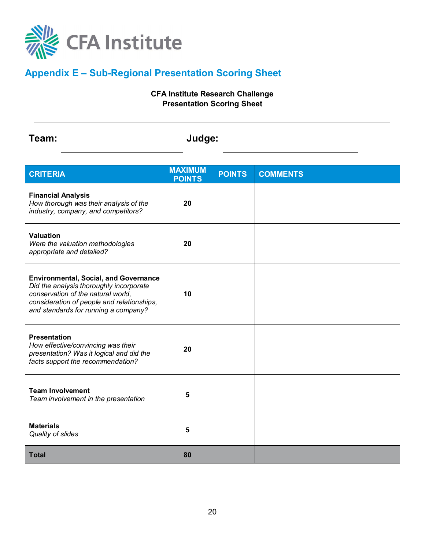

# <span id="page-19-0"></span>**Appendix E – Sub-Regional Presentation Scoring Sheet**

**CFA Institute Research Challenge Presentation Scoring Sheet**

**Team: Judge:**

| <b>CRITERIA</b>                                                                                                                                                                                                     | <b>MAXIMUM</b><br><b>POINTS</b> | <b>POINTS</b> | <b>COMMENTS</b> |
|---------------------------------------------------------------------------------------------------------------------------------------------------------------------------------------------------------------------|---------------------------------|---------------|-----------------|
| <b>Financial Analysis</b><br>How thorough was their analysis of the<br>industry, company, and competitors?                                                                                                          | 20                              |               |                 |
| <b>Valuation</b><br>Were the valuation methodologies<br>appropriate and detailed?                                                                                                                                   | 20                              |               |                 |
| <b>Environmental, Social, and Governance</b><br>Did the analysis thoroughly incorporate<br>conservation of the natural world,<br>consideration of people and relationships,<br>and standards for running a company? | 10                              |               |                 |
| <b>Presentation</b><br>How effective/convincing was their<br>presentation? Was it logical and did the<br>facts support the recommendation?                                                                          | 20                              |               |                 |
| <b>Team Involvement</b><br>Team involvement in the presentation                                                                                                                                                     | 5                               |               |                 |
| <b>Materials</b><br>Quality of slides                                                                                                                                                                               | 5                               |               |                 |
| <b>Total</b>                                                                                                                                                                                                        | 80                              |               |                 |